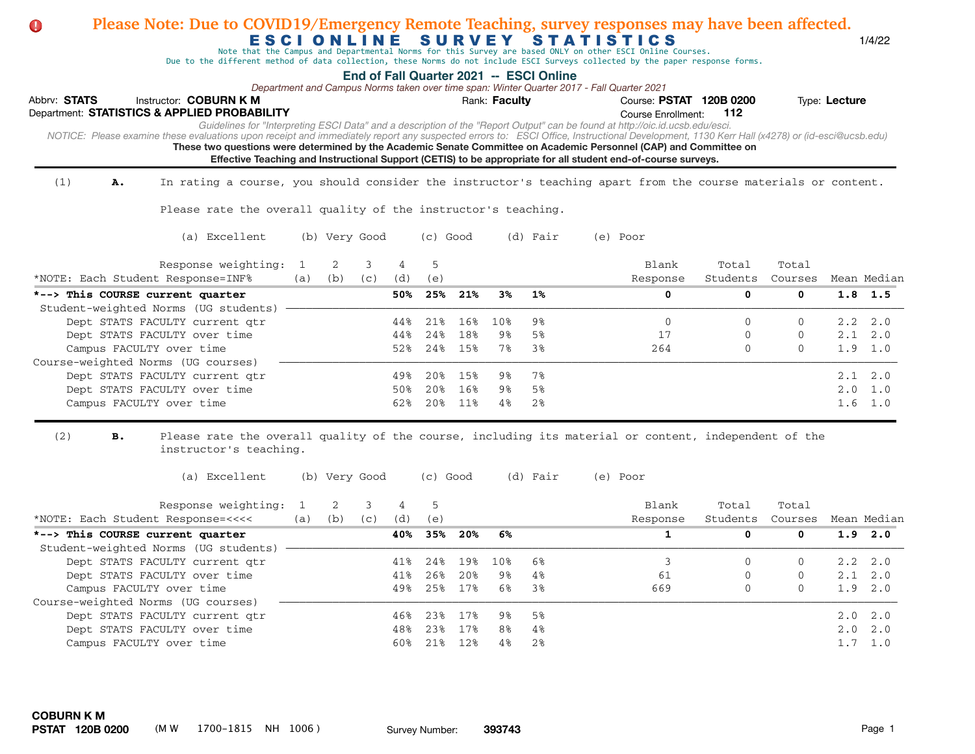| Please Note: Due to COVID19/Emergency Remote Teaching, survey responses may have been affected.<br>O                                                                                                                                                                                 |          |               |          |          |                    |     | ESCIONLINE SURVEY |                                         | <b>STATISTICS</b><br>Note that the Campus and Departmental Norms for this Survey are based ONLY on other ESCI Online Courses.<br>Due to the different method of data collection, these Norms do not include ESCI Surveys collected by the paper response forms.                                                                                                                                                                                                                                                   |                   |                  |               | 1/4/22                     |
|--------------------------------------------------------------------------------------------------------------------------------------------------------------------------------------------------------------------------------------------------------------------------------------|----------|---------------|----------|----------|--------------------|-----|-------------------|-----------------------------------------|-------------------------------------------------------------------------------------------------------------------------------------------------------------------------------------------------------------------------------------------------------------------------------------------------------------------------------------------------------------------------------------------------------------------------------------------------------------------------------------------------------------------|-------------------|------------------|---------------|----------------------------|
| Abbrv: STATS<br>Instructor: COBURN K M<br>Department: STATISTICS & APPLIED PROBABILITY<br>NOTICE: Please examine these evaluations upon receipt and immediately report any suspected errors to: ESCI Office, Instructional Development, 1130 Kerr Hall (x4278) or (id-esci@ucsb.edu) |          |               |          |          |                    |     | Rank: Faculty     | End of Fall Quarter 2021 -- ESCI Online | Department and Campus Norms taken over time span: Winter Quarter 2017 - Fall Quarter 2021<br>Course: PSTAT 120B 0200<br>Course Enrollment:<br>Guidelines for "Interpreting ESCI Data" and a description of the "Report Output" can be found at http://oic.id.ucsb.edu/esci.<br>These two questions were determined by the Academic Senate Committee on Academic Personnel (CAP) and Committee on<br>Effective Teaching and Instructional Support (CETIS) to be appropriate for all student end-of-course surveys. | 112               |                  | Type: Lecture |                            |
| (1)<br>In rating a course, you should consider the instructor's teaching apart from the course materials or content.<br>Α.                                                                                                                                                           |          |               |          |          |                    |     |                   |                                         |                                                                                                                                                                                                                                                                                                                                                                                                                                                                                                                   |                   |                  |               |                            |
| Please rate the overall quality of the instructor's teaching.                                                                                                                                                                                                                        |          |               |          |          |                    |     |                   |                                         |                                                                                                                                                                                                                                                                                                                                                                                                                                                                                                                   |                   |                  |               |                            |
| (a) Excellent                                                                                                                                                                                                                                                                        |          | (b) Very Good |          |          | (c) Good           |     |                   | (d) Fair                                | (e) Poor                                                                                                                                                                                                                                                                                                                                                                                                                                                                                                          |                   |                  |               |                            |
| Response weighting:<br>*NOTE: Each Student Response=INF%                                                                                                                                                                                                                             | 1<br>(a) | 2<br>(b)      | 3<br>(c) | 4<br>(d) | 5<br>(e)           |     |                   |                                         | Blank<br>Response                                                                                                                                                                                                                                                                                                                                                                                                                                                                                                 | Total<br>Students | Total<br>Courses |               | Mean Median                |
| *--> This COURSE current quarter<br>Student-weighted Norms (UG students)                                                                                                                                                                                                             |          |               |          | 50%      | 25%                | 21% | 3%                | $1\%$                                   | 0                                                                                                                                                                                                                                                                                                                                                                                                                                                                                                                 | 0                 | 0                |               | $1.8$ 1.5                  |
| Dept STATS FACULTY current qtr                                                                                                                                                                                                                                                       |          |               |          | 44%      | 21%                | 16% | 10%               | 9%                                      | 0                                                                                                                                                                                                                                                                                                                                                                                                                                                                                                                 | $\Omega$          | $\Omega$         |               | $2.2 \quad 2.0$            |
| Dept STATS FACULTY over time                                                                                                                                                                                                                                                         |          |               |          | 44%      | 24%                | 18% | 9%                | 5%                                      | 17                                                                                                                                                                                                                                                                                                                                                                                                                                                                                                                | 0                 | 0                |               | $2.1 \quad 2.0$            |
| Campus FACULTY over time                                                                                                                                                                                                                                                             |          |               |          | 52%      | 24%                | 15% | 7%                | 3%                                      | 264                                                                                                                                                                                                                                                                                                                                                                                                                                                                                                               | $\Omega$          | $\Omega$         | 1.9           | 1.0                        |
| Course-weighted Norms (UG courses)<br>Dept STATS FACULTY current qtr                                                                                                                                                                                                                 |          |               |          | 49%      | 20%                | 15% | 9%                | 7%                                      |                                                                                                                                                                                                                                                                                                                                                                                                                                                                                                                   |                   |                  |               | $2.1 \quad 2.0$            |
| Dept STATS FACULTY over time                                                                                                                                                                                                                                                         |          |               |          | 50%      | 20%                | 16% | 9%                | 5%                                      |                                                                                                                                                                                                                                                                                                                                                                                                                                                                                                                   |                   |                  | $2 \, . \, 0$ | 1.0                        |
| Campus FACULTY over time                                                                                                                                                                                                                                                             |          |               |          | 62%      | 20%                | 11% | 4%                | 2%                                      |                                                                                                                                                                                                                                                                                                                                                                                                                                                                                                                   |                   |                  |               | $1.6 \quad 1.0$            |
| (2)<br>Please rate the overall quality of the course, including its material or content, independent of the<br>в.<br>instructor's teaching.<br>(a) Excellent                                                                                                                         |          | (b) Very Good |          |          | (c) Good           |     |                   | (d) Fair                                | (e) Poor                                                                                                                                                                                                                                                                                                                                                                                                                                                                                                          |                   |                  |               |                            |
| Response weighting:                                                                                                                                                                                                                                                                  | 1        | 2             | 3        | 4        | 5                  |     |                   |                                         | Blank                                                                                                                                                                                                                                                                                                                                                                                                                                                                                                             | Total             | Total            |               |                            |
| *NOTE: Each Student Response=<<<<                                                                                                                                                                                                                                                    | (a)      | (b)           | (C)      | (d)      | (e)                |     |                   |                                         | Response                                                                                                                                                                                                                                                                                                                                                                                                                                                                                                          | Students          | Courses          |               | Mean Median                |
| *--> This COURSE current quarter                                                                                                                                                                                                                                                     |          |               |          | 40%      | 35%                | 20% | 6%                |                                         | 1                                                                                                                                                                                                                                                                                                                                                                                                                                                                                                                 | 0                 | 0                | 1.9           | 2.0                        |
| Student-weighted Norms (UG students)                                                                                                                                                                                                                                                 |          |               |          |          |                    |     |                   |                                         |                                                                                                                                                                                                                                                                                                                                                                                                                                                                                                                   |                   |                  |               |                            |
| Dept STATS FACULTY current qtr<br>Dept STATS FACULTY over time                                                                                                                                                                                                                       |          |               |          | 41%      | 24%<br>41% 26% 20% | 19% | 10%<br>98         | 6%<br>4%                                | 3<br>61                                                                                                                                                                                                                                                                                                                                                                                                                                                                                                           | $\mathbf{0}$<br>0 | $\mathbf 0$<br>0 |               | $2.2 \quad 2.0$<br>2.1 2.0 |
| Campus FACULTY over time                                                                                                                                                                                                                                                             |          |               |          |          | 49% 25% 17%        |     | 6%                | 3%                                      | 669                                                                                                                                                                                                                                                                                                                                                                                                                                                                                                               | $\mathbf{0}$      | $\mathbf 0$      |               | 1.9 2.0                    |
| Course-weighted Norms (UG courses)                                                                                                                                                                                                                                                   |          |               |          |          |                    |     |                   |                                         |                                                                                                                                                                                                                                                                                                                                                                                                                                                                                                                   |                   |                  |               |                            |
| Dept STATS FACULTY current qtr                                                                                                                                                                                                                                                       |          |               |          |          | 46% 23% 17%        |     | 98                | 5%                                      |                                                                                                                                                                                                                                                                                                                                                                                                                                                                                                                   |                   |                  |               | 2.0 2.0                    |
| Dept STATS FACULTY over time                                                                                                                                                                                                                                                         |          |               |          | 48%      | 23%                | 17% | 8%                | 4%                                      |                                                                                                                                                                                                                                                                                                                                                                                                                                                                                                                   |                   |                  |               | 2.0 2.0                    |
| Campus FACULTY over time                                                                                                                                                                                                                                                             |          |               |          |          | 60% 21% 12%        |     | 4%                | 2%                                      |                                                                                                                                                                                                                                                                                                                                                                                                                                                                                                                   |                   |                  |               | $1.7 \quad 1.0$            |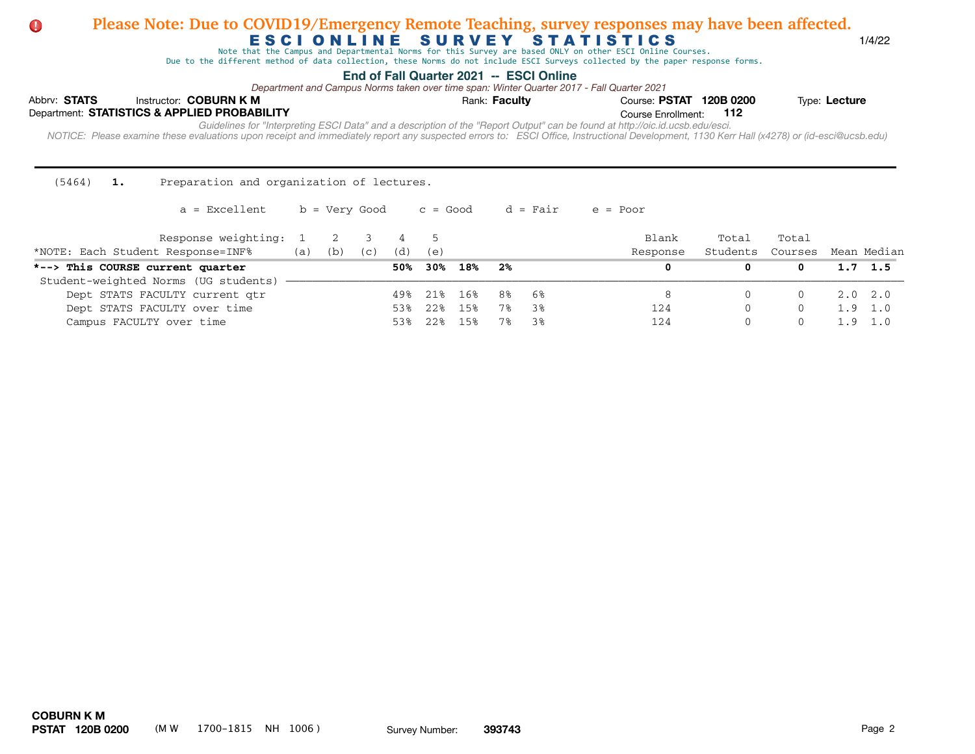Note that the Campus and Departmental Norms for this Survey are based ONLY on other ESCI Online Courses.

Due to the different method of data collection, these Norms do not include ESCI Surveys collected by the paper response forms.

## **End of Fall Quarter 2021 -- ESCI Online**

*Department and Campus Norms taken over time span: Winter Quarter 2017 - Fall Quarter 2021*

|  |                      |  | Type: Lecture                                                                                                                                                                                                                                                                                                                                                                    |  |  |  |  |  |  |  |  |  |  |
|--|----------------------|--|----------------------------------------------------------------------------------------------------------------------------------------------------------------------------------------------------------------------------------------------------------------------------------------------------------------------------------------------------------------------------------|--|--|--|--|--|--|--|--|--|--|
|  |                      |  |                                                                                                                                                                                                                                                                                                                                                                                  |  |  |  |  |  |  |  |  |  |  |
|  |                      |  |                                                                                                                                                                                                                                                                                                                                                                                  |  |  |  |  |  |  |  |  |  |  |
|  | Rank: <b>Faculty</b> |  | Course: PSTAT 120B 0200<br>Course Enrollment: 112<br>Guidelines for "Interpreting ESCI Data" and a description of the "Report Output" can be found at http://oic.id.ucsb.edu/esci.<br>NOTICE: Please examine these evaluations upon receipt and immediately report any suspected errors to: ESCI Office, Instructional Development, 1130 Kerr Hall (x4278) or (id-esci@ucsb.edu) |  |  |  |  |  |  |  |  |  |  |

(5464) **1.** Preparation and organization of lectures.

| Response weighting: 1<br>*NOTE: Each Student Response=INF% | (a) | (b) | (C) | (d) | (e)               |       |      |      | Blank<br>Response | Total<br>Students | Total<br>Courses | Mean Median     |
|------------------------------------------------------------|-----|-----|-----|-----|-------------------|-------|------|------|-------------------|-------------------|------------------|-----------------|
| *--> This COURSE current quarter                           |     |     |     | 50% | 30%               | 18%   | - 2% |      |                   |                   |                  | $1.7 \quad 1.5$ |
| Student-weighted Norms (UG students)                       |     |     |     |     |                   |       |      |      |                   |                   |                  |                 |
| Dept STATS FACULTY current qtr                             |     |     |     | 49% | 218               | 16%   | 8%   | - 6% |                   |                   |                  | 2.0 2.0         |
| Dept STATS FACULTY over time                               |     |     |     | 538 | 22.8              | 15%   | 7%   | 38   | 124               |                   |                  | $1.9 \quad 1.0$ |
| Campus FACULTY over time                                   |     |     |     |     | $22$ <sup>8</sup> | 1 5 % | 7%   | 38   | 124               |                   |                  |                 |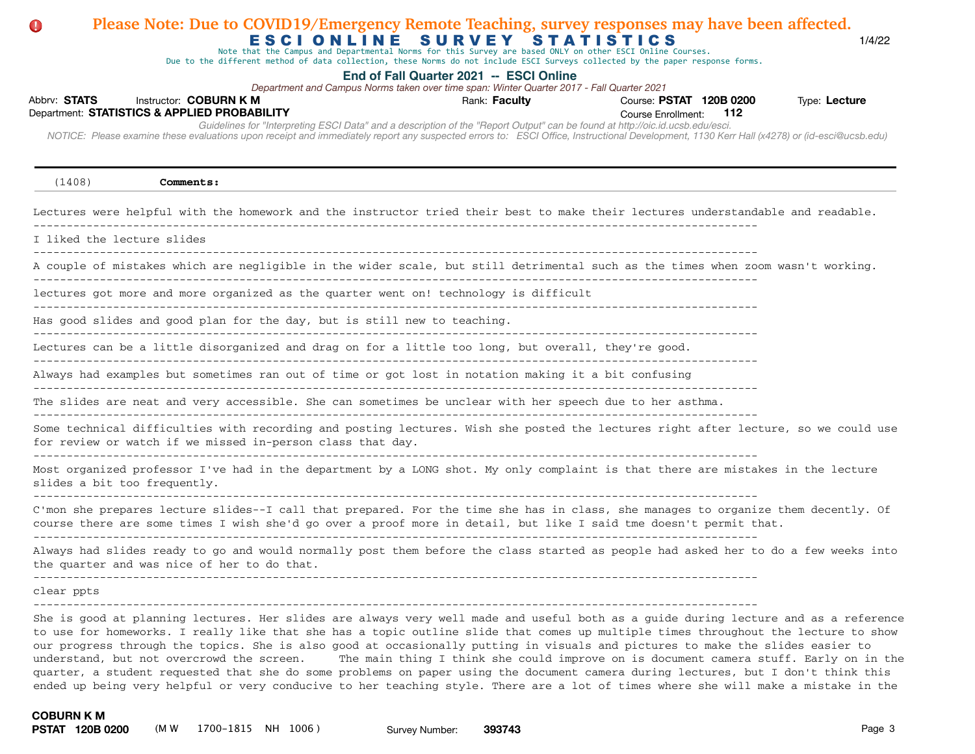# Abbrv: STATS Instructor: COBURN K M **COUR EXECUTS** Rank: Faculty **Providence: PSTAT 120B 0200** Type: Lecture Course Enrollment:  *NOTICE: Please examine these evaluations upon receipt and immediately report any suspected errors to: ESCI Office, Instructional Development, 1130 Kerr Hall (x4278) or (id-esci@ucsb.edu)*  Department: **STATISTICS & APPLIED PROBABILITY 112** E S C I O N L I N E S U R V E Y S T A T I S T I C S **End of Fall Quarter 2021 -- ESCI Online** *Guidelines for "Interpreting ESCI Data" and a description of the "Report Output" can be found at http://oic.id.ucsb.edu/esci. Department and Campus Norms taken over time span: Winter Quarter 2017 - Fall Quarter 2021* Note that the Campus and Departmental Norms for this Survey are based ONLY on other ESCI Online Courses. Due to the different method of data collection, these Norms do not include ESCI Surveys collected by the paper response forms. **Please Note: Due to COVID19/Emergency Remote Teaching, survey responses may have been affected.** (1408) **Comments:** Lectures were helpful with the homework and the instructor tried their best to make their lectures understandable and readable. ------------------------------------------------------------------------------------------------------------- I liked the lecture slides  $-$ A couple of mistakes which are negligible in the wider scale, but still detrimental such as the times when zoom wasn't working. ------------------------------------------------------------------------------------------------------------ lectures got more and more organized as the quarter went on! technology is difficult ------------------------------------------------------------------------------------------------------------- Has good slides and good plan for the day, but is still new to teaching. ------------------------------------------------------------------------------------------------------------- Lectures can be a little disorganized and drag on for a little too long, but overall, they're good. ------------------------------------------------------------------------------------------------------------- Always had examples but sometimes ran out of time or got lost in notation making it a bit confusing ------------------------------------------------------------------------------------------------------------- The slides are neat and very accessible. She can sometimes be unclear with her speech due to her asthma. ------------------------------------------------------------------------------------------------------------- Some technical difficulties with recording and posting lectures. Wish she posted the lectures right after lecture, so we could use for review or watch if we missed in-person class that day. ------------------------------------------------------------------------------------------------------------- Most organized professor I've had in the department by a LONG shot. My only complaint is that there are mistakes in the lecture slides a bit too frequently. ------------------------------------------------------------------------------------------------------------- C'mon she prepares lecture slides--I call that prepared. For the time she has in class, she manages to organize them decently. Of course there are some times I wish she'd go over a proof more in detail, but like I said tme doesn't permit that. ------------------------------------------------------------------------------------------------------------- Always had slides ready to go and would normally post them before the class started as people had asked her to do a few weeks into the quarter and was nice of her to do that. ------------------------------------------------------------------------------------------------------------ clear ppts ------------------------------------------------------------------------------------------------------------- She is good at planning lectures. Her slides are always very well made and useful both as a guide during lecture and as a reference to use for homeworks. I really like that she has a topic outline slide that comes up multiple times throughout the lecture to show our progress through the topics. She is also good at occasionally putting in visuals and pictures to make the slides easier to

understand, but not overcrowd the screen. The main thing I think she could improve on is document camera stuff. Early on in the quarter, a student requested that she do some problems on paper using the document camera during lectures, but I don't think this ended up being very helpful or very conducive to her teaching style. There are a lot of times where she will make a mistake in the

document camera stuff at all, or if she does do it, it would probably help if she already had all of the work written out on a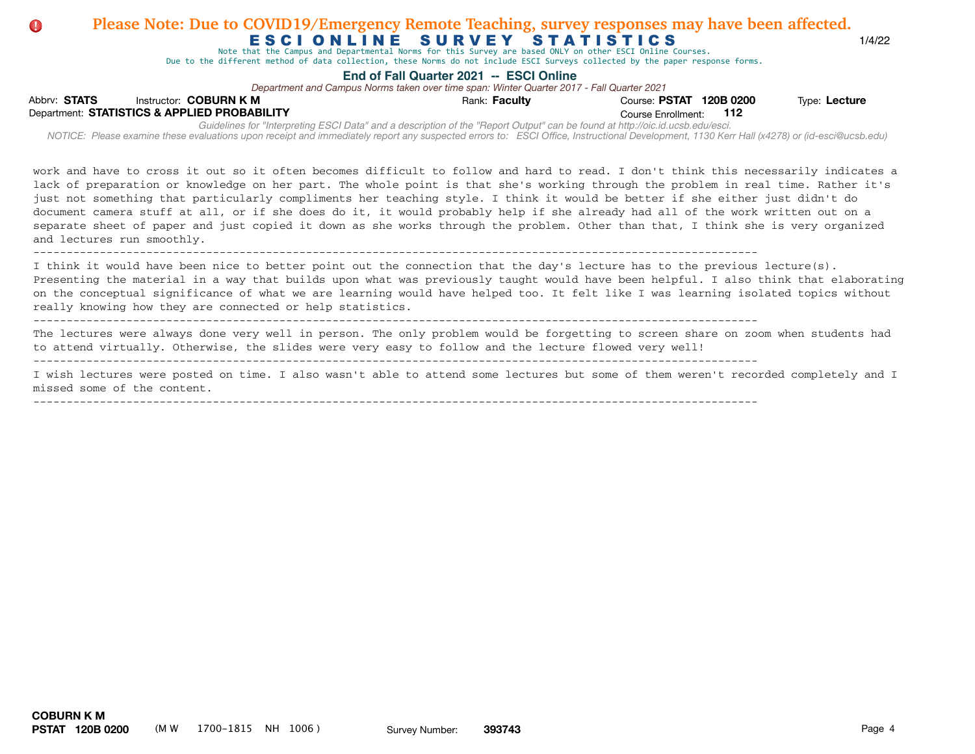# ESCIONLINE SURVEY STATISTICS 1/4/22 **D** Please Note: Due to COVID19/Emergency Remote Teaching, survey responses may have been affected.

Note that the Campus and Departmental Norms for this Survey are based ONLY on other ESCI Online Courses.

Due to the different method of data collection, these Norms do not include ESCI Surveys collected by the paper response forms.

## **End of Fall Quarter 2021 -- ESCI Online** -------------------------------------------------------------------------------------------------------------

Department and Campus Norms taken over time span: Winter Quarter 2017 - Fall Quarter 2021

| Abbrv: STATS |                                              | Instructor: COBURN K M |                                                                                                                                                                                                                                                                                                                             | Rank: Faculty | Course: PSTAT 120B 0200 | Type: Lecture |
|--------------|----------------------------------------------|------------------------|-----------------------------------------------------------------------------------------------------------------------------------------------------------------------------------------------------------------------------------------------------------------------------------------------------------------------------|---------------|-------------------------|---------------|
|              | Department: STATISTICS & APPLIED PROBABILITY |                        |                                                                                                                                                                                                                                                                                                                             |               | Course Enrollment: 112  |               |
|              |                                              |                        | Guidelines for "Interpreting ESCI Data" and a description of the "Report Output" can be found at http://oic.id.ucsb.edu/esci.<br>NOTICE: Please examine these evaluations upon receipt and immediately report any suspected errors to: ESCI Office, Instructional Development, 1130 Kerr Hall (x4278) or (id-esci@ucsb.edu) |               |                         |               |
|              |                                              |                        | work and have to cross it out so it often becomes difficult to follow and hard to read. I don't think this necessarily indicates a<br>lack of preparation or knowledge on her part. The whole point is that she's working through the problem in real time. Rather it's                                                     |               |                         |               |

just not something that particularly compliments her teaching style. I think it would be better if she either just didn't do document camera stuff at all, or if she does do it, it would probably help if she already had all of the work written out on a separate sheet of paper and just copied it down as she works through the problem. Other than that, I think she is very organized and lectures run smoothly.

-------------------------------------------------------------------------------------------------------------

I think it would have been nice to better point out the connection that the day's lecture has to the previous lecture(s). Presenting the material in a way that builds upon what was previously taught would have been helpful. I also think that elaborating on the conceptual significance of what we are learning would have helped too. It felt like I was learning isolated topics without really knowing how they are connected or help statistics.

-------------------------------------------------------------------------------------------------------------

The lectures were always done very well in person. The only problem would be forgetting to screen share on zoom when students had to attend virtually. Otherwise, the slides were very easy to follow and the lecture flowed very well!

------------------------------------------------------------------------------------------------------------- I wish lectures were posted on time. I also wasn't able to attend some lectures but some of them weren't recorded completely and I missed some of the content.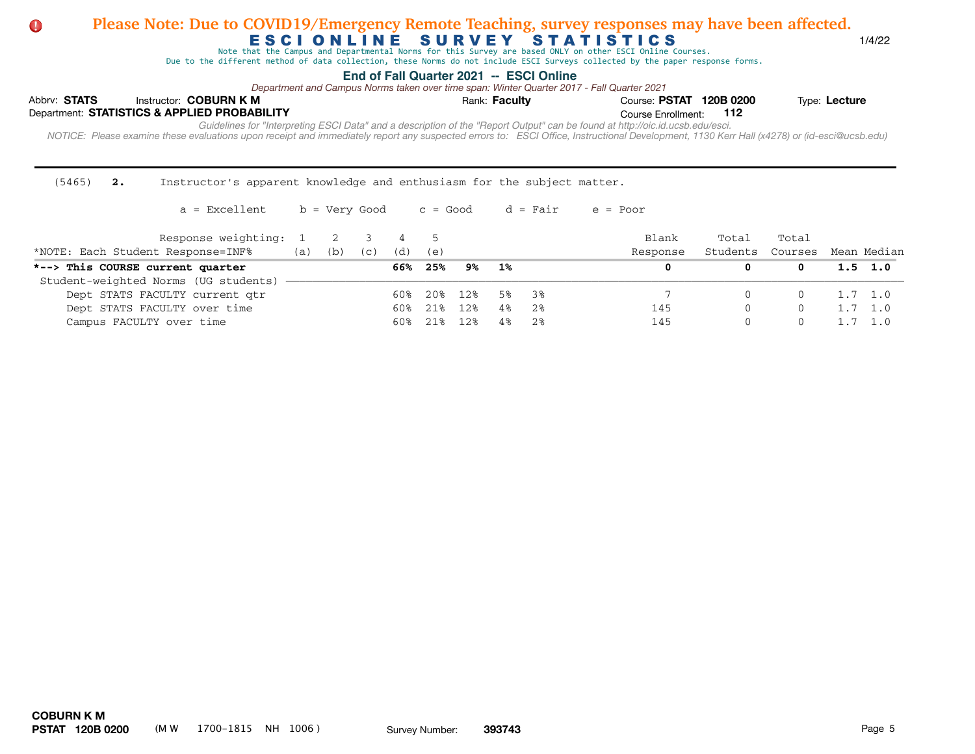Note that the Campus and Departmental Norms for this Survey are based ONLY on other ESCI Online Courses.

Due to the different method of data collection, these Norms do not include ESCI Surveys collected by the paper response forms.

## **End of Fall Quarter 2021 -- ESCI Online**

Campus FACULTY over time 60% 21% 12% 4% 2% 145 0 0 1.7 1.0

*Department and Campus Norms taken over time span: Winter Quarter 2017 - Fall Quarter 2021*

| Abbrv: STATS | Instructor: COBURN K M                       | Rank: Faculty                                                                                                                                                                              | Course: PSTAT 120B 0200 | Type: Lecture |
|--------------|----------------------------------------------|--------------------------------------------------------------------------------------------------------------------------------------------------------------------------------------------|-------------------------|---------------|
|              | Department: STATISTICS & APPLIED PROBABILITY |                                                                                                                                                                                            | Course Enrollment: 112  |               |
|              |                                              | Guidelines for "Interpreting ESCI Data" and a description of the "Report Output" can be found at http://oic.id.ucsb.edu/esci.                                                              |                         |               |
|              |                                              | NOTICE: Please examine these evaluations upon receipt and immediately report any suspected errors to: ESCI Office, Instructional Development, 1130 Kerr Hall (x4278) or (id-esci@ucsb.edu) |                         |               |

(5465) **2.** Instructor's apparent knowledge and enthusiasm for the subject matter.

 $a =$  Excellent b = Very Good c = Good d = Fair e = Poor Response weighting: 1 2 3 4 5 Blank Total Total \*NOTE: Each Student Response=INF% (a) (b) (c) (d) (e) Response Students Courses Mean Median **\*--> This COURSE current quarter 66% 25% 9% 1% 0 0 0 1.5 1.0**  Student-weighted Norms (UG students) - Dept STATS FACULTY current qtr 60% 20% 12% 5% 3% 7 0 0 1.7 1.0 Dept STATS FACULTY over time  $60\%$  21% 12% 4% 2% 145 0 0 1.7 1.0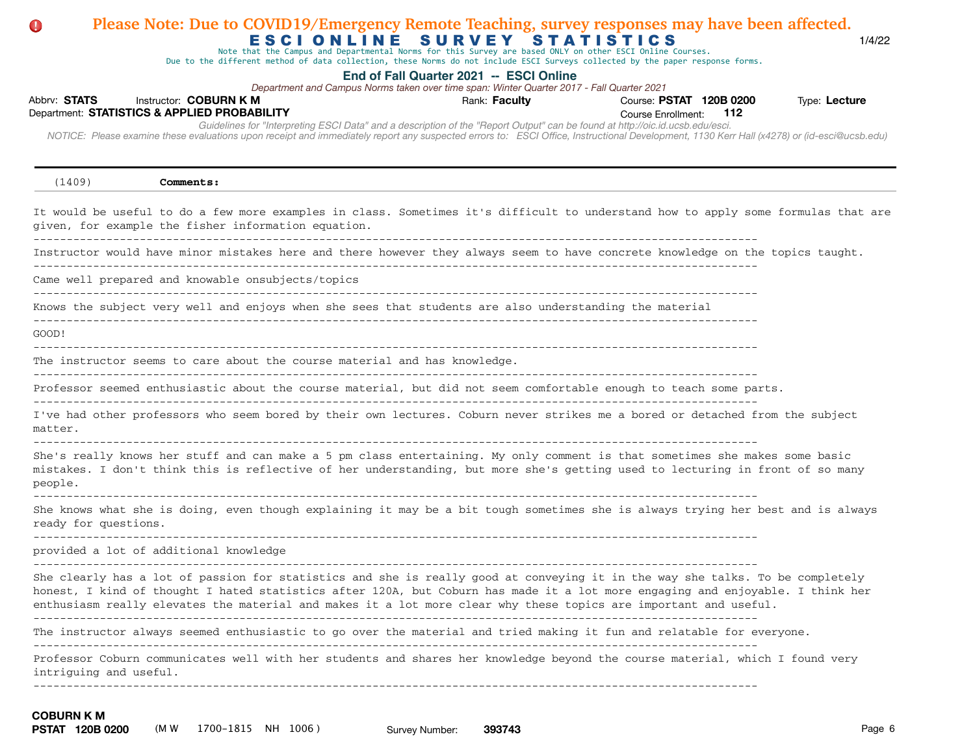# Abbrv: STATS Instructor: COBURN K M **COUR EXECUTS** Rank: Faculty **Providence: PSTAT 120B 0200** Type: Lecture Course Enrollment:  *NOTICE: Please examine these evaluations upon receipt and immediately report any suspected errors to: ESCI Office, Instructional Development, 1130 Kerr Hall (x4278) or (id-esci@ucsb.edu)*  Department: **STATISTICS & APPLIED PROBABILITY 112** E S C I O N L I N E S U R V E Y S T A T I S T I C S **End of Fall Quarter 2021 -- ESCI Online** *Guidelines for "Interpreting ESCI Data" and a description of the "Report Output" can be found at http://oic.id.ucsb.edu/esci. Department and Campus Norms taken over time span: Winter Quarter 2017 - Fall Quarter 2021* Note that the Campus and Departmental Norms for this Survey are based ONLY on other ESCI Online Courses. Due to the different method of data collection, these Norms do not include ESCI Surveys collected by the paper response forms. **Please Note: Due to COVID19/Emergency Remote Teaching, survey responses may have been affected.** (1409) **Comments:** It would be useful to do a few more examples in class. Sometimes it's difficult to understand how to apply some formulas that are given, for example the fisher information equation. ------------------------------------------------------------------------------------------------------------- Instructor would have minor mistakes here and there however they always seem to have concrete knowledge on the topics taught. ------------------------------------------------------------------------------------------------------------- Came well prepared and knowable onsubjects/topics ------------------------------------------------------------------------------------------------------------- Knows the subject very well and enjoys when she sees that students are also understanding the material ------------------------------------------------------------------------------------------------------------- GOOD! ------------------------------------------------------------------------------------------------------------- The instructor seems to care about the course material and has knowledge.  $-$ Professor seemed enthusiastic about the course material, but did not seem comfortable enough to teach some parts. ------------------------------------------------------------------------------------------------------------- I've had other professors who seem bored by their own lectures. Coburn never strikes me a bored or detached from the subject matter. ------------------------------------------------------------------------------------------------------------- She's really knows her stuff and can make a 5 pm class entertaining. My only comment is that sometimes she makes some basic mistakes. I don't think this is reflective of her understanding, but more she's getting used to lecturing in front of so many people. ------------------------------------------------------------------------------------------------------------- She knows what she is doing, even though explaining it may be a bit tough sometimes she is always trying her best and is always ready for questions. ------------------------------------------------------------------------------------------------------------ provided a lot of additional knowledge ------------------------------------------------------------------------------------------------------------- She clearly has a lot of passion for statistics and she is really good at conveying it in the way she talks. To be completely honest, I kind of thought I hated statistics after 120A, but Coburn has made it a lot more engaging and enjoyable. I think her enthusiasm really elevates the material and makes it a lot more clear why these topics are important and useful. ------------------------------------------------------------------------------------------------------------- The instructor always seemed enthusiastic to go over the material and tried making it fun and relatable for everyone. ------------------------------------------------------------------------------------------------------------- Professor Coburn communicates well with her students and shares her knowledge beyond the course material, which I found very intriguing and useful. ------------------------------------------------------------------------------------------------------------- ------------------------------------------------------------------------------------------------------------- **COBURN K M**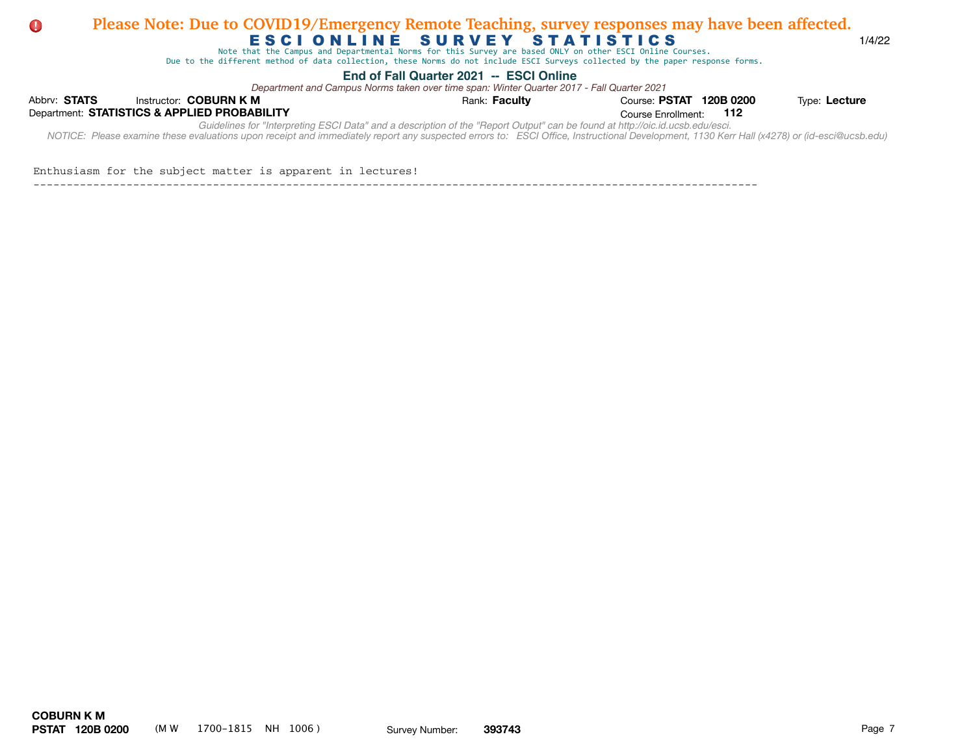### E S C I O N L I N E SURVEY STATISTICS (1/4/22 **Please Note: Due to COVID19/Emergency Remote Teaching, survey responses may have been affected. provide** a lot of a lotter please Note: Due to COVII  $\mathsf F \subseteq \mathsf F \subseteq \mathsf F \subseteq \mathsf F \subseteq \mathsf F \subseteq \mathsf F \subseteq \mathsf F \subseteq \mathsf F \subseteq \mathsf F \subseteq \mathsf F \subseteq \mathsf F \subseteq \mathsf F \subseteq \mathsf F \subseteq \mathsf F \subseteq \mathsf F \subseteq \mathsf F \subseteq \mathsf F \subseteq \mathsf F \subseteq \mathsf F \subseteq \mathsf F \subseteq \mathsf F \subseteq \mathsf F \subseteq \mathsf F \subseteq \mathsf F \subseteq \mathsf F \subseteq \mathsf F \subseteq \mathsf F \subseteq \mathsf F \subseteq \mathsf F \subseteq \mathsf F \subseteq \mathsf F \subseteq \mathsf F \subseteq \mathsf F \subseteq \mathsf F \subseteq \mathsf F \subseteq \mathsf F \subseteq \mathsf F$

Note that the Campus and Departmental Norms for this Survey are based ONLY on other ESCI Online Courses.

Due to the different method of data collection, these Norms do not include ESCI Surveys collected by the paper response forms. Due to the different method of data collection, these Norms do not include ESCI Surveys collected by the paper response forms.

## **End of Fall Quarter 2021 -- ESCI Online** and makes it a lot more clear why the material and makes the material and useful. The material and useful. The material and useful. The material and useful. The material and useful

Department and Campus Norms taken over time span: Winter Quarter 2017 - Fall Quarter 2021

| Abbry: STATS                                                                                                                                                                                                                                                                                                                |  | Instructor: COBURN K M                       | Rank: Faculty | Course: PSTAT 120B 0200 |  | Type: Lecture |  |  |  |  |
|-----------------------------------------------------------------------------------------------------------------------------------------------------------------------------------------------------------------------------------------------------------------------------------------------------------------------------|--|----------------------------------------------|---------------|-------------------------|--|---------------|--|--|--|--|
|                                                                                                                                                                                                                                                                                                                             |  | Department: STATISTICS & APPLIED PROBABILITY |               | Course Enrollment: 112  |  |               |  |  |  |  |
| Guidelines for "Interpreting ESCI Data" and a description of the "Report Output" can be found at http://oic.id.ucsb.edu/esci.<br>NOTICE: Please examine these evaluations upon receipt and immediately report any suspected errors to: ESCI Office, Instructional Development, 1130 Kerr Hall (x4278) or (id-esci@ucsb.edu) |  |                                              |               |                         |  |               |  |  |  |  |
|                                                                                                                                                                                                                                                                                                                             |  |                                              |               |                         |  |               |  |  |  |  |

## Enthusiasm for the subject matter is apparent in lectures!

-------------------------------------------------------------------------------------------------------------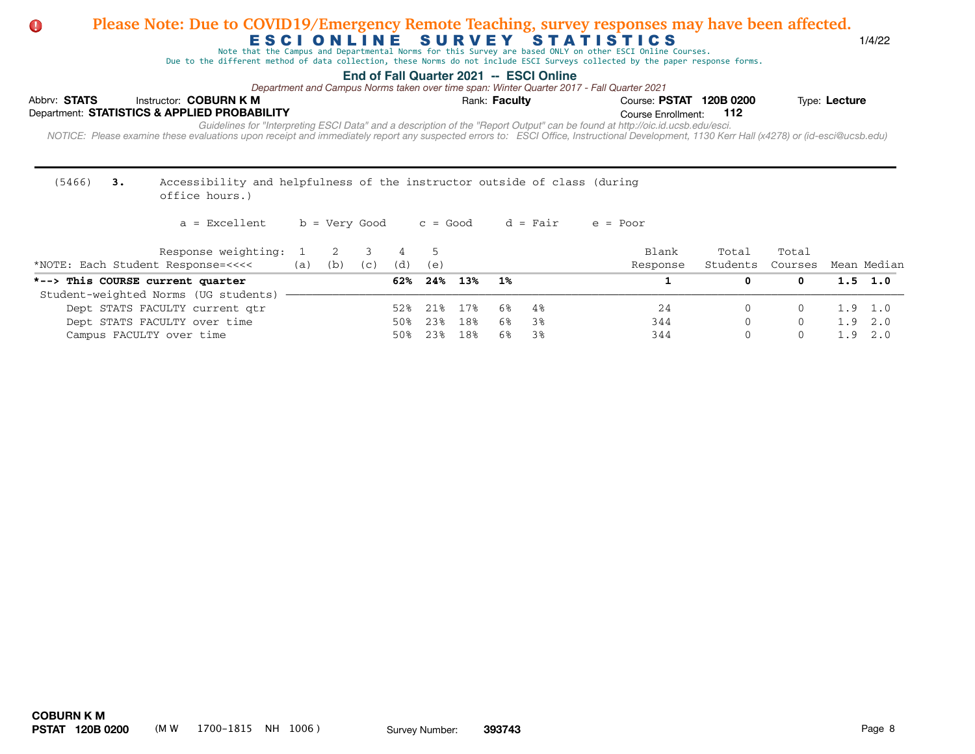Note that the Campus and Departmental Norms for this Survey are based ONLY on other ESCI Online Courses.

Due to the different method of data collection, these Norms do not include ESCI Surveys collected by the paper response forms.

## **End of Fall Quarter 2021 -- ESCI Online**

*Department and Campus Norms taken over time span: Winter Quarter 2017 - Fall Quarter 2021*

| Abbry: STATS                                 |  | Instructor: COBURN K M | Rank: <b>Faculty</b>                                                                                                                                                                                                                                                                                                        | Course: PSTAT 120B 0200 | Type: Lecture |  |  |  |  |  |  |  |  |
|----------------------------------------------|--|------------------------|-----------------------------------------------------------------------------------------------------------------------------------------------------------------------------------------------------------------------------------------------------------------------------------------------------------------------------|-------------------------|---------------|--|--|--|--|--|--|--|--|
| Department: STATISTICS & APPLIED PROBABILITY |  |                        |                                                                                                                                                                                                                                                                                                                             | Course Enrollment:      | - 112         |  |  |  |  |  |  |  |  |
|                                              |  |                        | Guidelines for "Interpreting ESCI Data" and a description of the "Report Output" can be found at http://oic.id.ucsb.edu/esci.<br>NOTICE: Please examine these evaluations upon receipt and immediately report any suspected errors to: ESCI Office, Instructional Development, 1130 Kerr Hall (x4278) or (id-esci@ucsb.edu) |                         |               |  |  |  |  |  |  |  |  |
|                                              |  |                        |                                                                                                                                                                                                                                                                                                                             |                         |               |  |  |  |  |  |  |  |  |

#### (5466) **3.** Accessibility and helpfulness of the instructor outside of class (during office hours.)

| Response weighting:<br>*NOTE: Each Student Response=<<<< | (a) | (b) | (c) | (d) | (e)     |     |    |    | Blank<br>Response | Total<br>Students | Total<br>Courses | Mean Median     |
|----------------------------------------------------------|-----|-----|-----|-----|---------|-----|----|----|-------------------|-------------------|------------------|-----------------|
| *--> This COURSE current quarter                         |     |     |     | 62% | 24%     | 13% | 1% |    |                   |                   |                  | $1.5 \t1.0$     |
| Student-weighted Norms (UG students)                     |     |     |     |     |         |     |    |    |                   |                   |                  |                 |
| Dept STATS FACULTY current qtr                           |     |     |     |     | 21% 17% |     | 6% | 4% | 24                | $\Box$            |                  | $1.9 \quad 1.0$ |
| Dept STATS FACULTY over time                             |     |     |     | 50% | 23%     | 18% | 6% | 38 | 344               | 0                 |                  | $1.9 \quad 2.0$ |
| Campus FACULTY over time                                 |     |     |     |     | 23      | 18% | 6% | 38 | 344               | $\left( \right)$  |                  | .92.0           |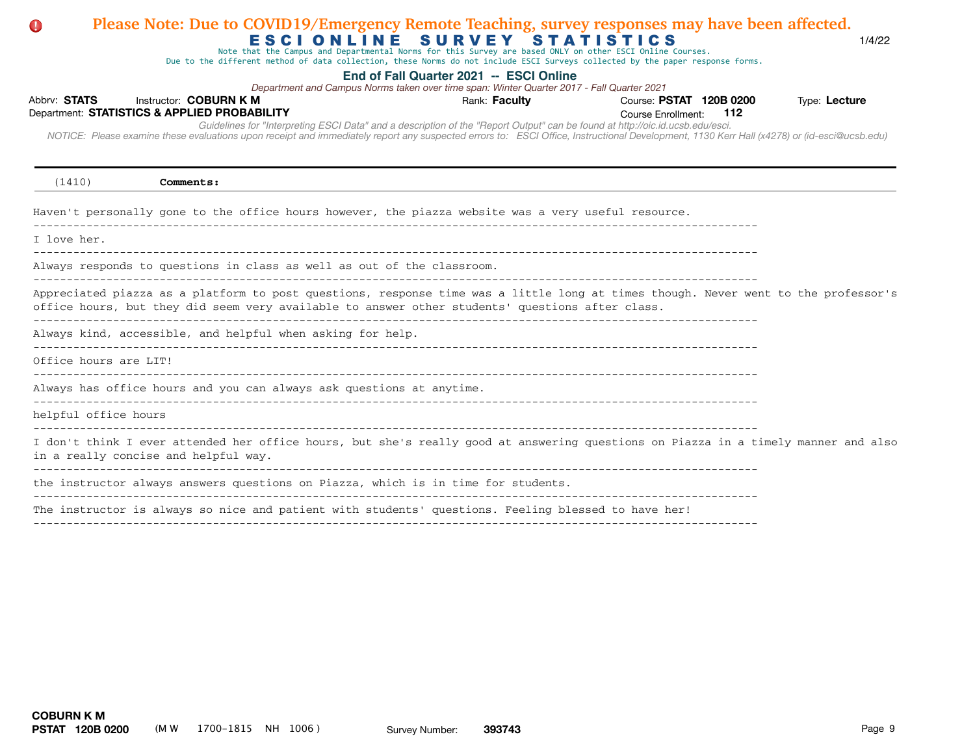# Abbrv: STATS Instructor: COBURN K M **COUR EXECUTS** Rank: Faculty **Providence: PSTAT 120B 0200** Type: Lecture Course Enrollment:  *NOTICE: Please examine these evaluations upon receipt and immediately report any suspected errors to: ESCI Office, Instructional Development, 1130 Kerr Hall (x4278) or (id-esci@ucsb.edu)*  Department: **STATISTICS & APPLIED PROBABILITY 112** E S C I O N L I N E S U R V E Y S T A T I S T I C S **End of Fall Quarter 2021 -- ESCI Online** *Guidelines for "Interpreting ESCI Data" and a description of the "Report Output" can be found at http://oic.id.ucsb.edu/esci. Department and Campus Norms taken over time span: Winter Quarter 2017 - Fall Quarter 2021* Note that the Campus and Departmental Norms for this Survey are based ONLY on other ESCI Online Courses. Due to the different method of data collection, these Norms do not include ESCI Surveys collected by the paper response forms. (1410) **Comments:** Haven't personally gone to the office hours however, the piazza website was a very useful resource. I love her. ------------------------------------------------------------------------------------------------------------- Always responds to questions in class as well as out of the classroom. ------------------------------------------------------------------------------------------------------------- Appreciated piazza as a platform to post questions, response time was a little long at times though. Never went to the professor's office hours, but they did seem very available to answer other students' questions after class. ------------------------------------------------------------------------------------------------------------- Always kind, accessible, and helpful when asking for help. ------------------------------------------------------------------------------------------------------------- Office hours are LIT! Always has office hours and you can always ask questions at anytime. ------------------------------------------------------------------------------------------------------------ helpful office hours ------------------------------------------------------------------------------------------------------------- I don't think I ever attended her office hours, but she's really good at answering questions on Piazza in a timely manner and also in a really concise and helpful way. ------------------------------------------------------------------------------------------------------------ the instructor always answers questions on Piazza, which is in time for students. ------------------------------------------------------------------------------------------------------------- The instructor is always so nice and patient with students' questions. Feeling blessed to have her!

**Please Note: Due to COVID19/Emergency Remote Teaching, survey responses may have been affected.**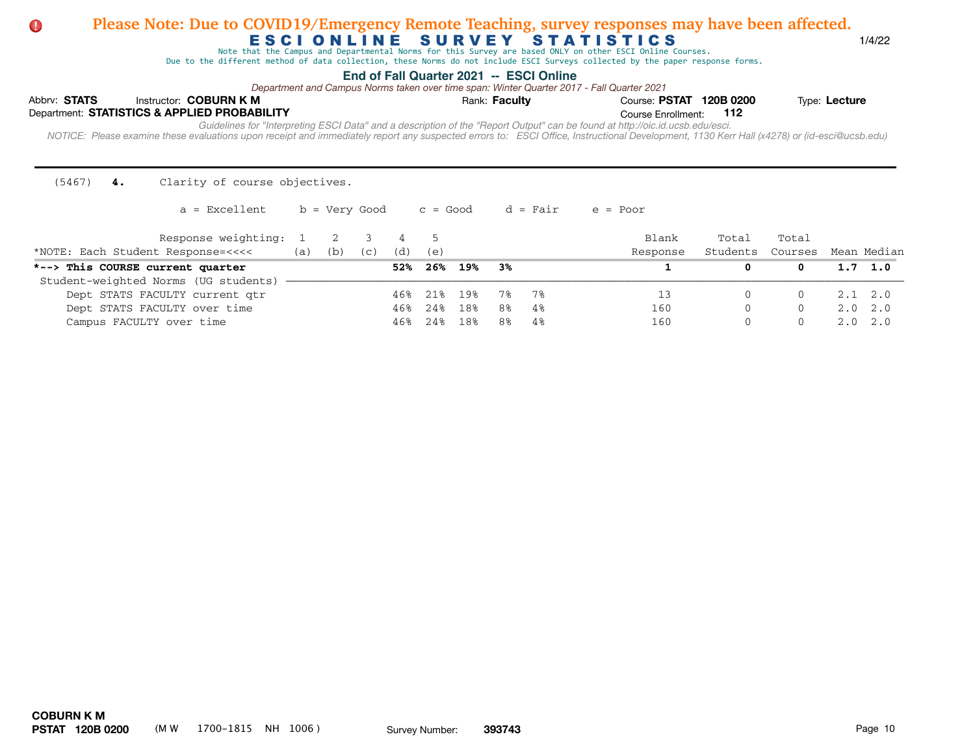Note that the Campus and Departmental Norms for this Survey are based ONLY on other ESCI Online Courses.

Due to the different method of data collection, these Norms do not include ESCI Surveys collected by the paper response forms.

## **End of Fall Quarter 2021 -- ESCI Online**

*Department and Campus Norms taken over time span: Winter Quarter 2017 - Fall Quarter 2021*

| Abbrv: STATS |  | Instructor: COBURN K M                                                                                                                                                                                                                                                                                                      | Rank: Faculty | Course: PSTAT 120B 0200 |  | Type: Lecture |  |  |  |  |  |  |  |
|--------------|--|-----------------------------------------------------------------------------------------------------------------------------------------------------------------------------------------------------------------------------------------------------------------------------------------------------------------------------|---------------|-------------------------|--|---------------|--|--|--|--|--|--|--|
|              |  | Department: STATISTICS & APPLIED PROBABILITY                                                                                                                                                                                                                                                                                |               | Course Enrollment: 112  |  |               |  |  |  |  |  |  |  |
|              |  | Guidelines for "Interpreting ESCI Data" and a description of the "Report Output" can be found at http://oic.id.ucsb.edu/esci.<br>NOTICE: Please examine these evaluations upon receipt and immediately report any suspected errors to: ESCI Office, Instructional Development, 1130 Kerr Hall (x4278) or (id-esci@ucsb.edu) |               |                         |  |               |  |  |  |  |  |  |  |

(5467) **4.** Clarity of course objectives.

| Response weighting: 1<br>*NOTE: Each Student Response=<<<< | (a) | (b) | (C) | (d) | (e) |         |      |    | Blank<br>Response | Total<br>Students | Total<br>Courses | Mean Median     |
|------------------------------------------------------------|-----|-----|-----|-----|-----|---------|------|----|-------------------|-------------------|------------------|-----------------|
| *--> This COURSE current quarter                           |     |     |     | 52% |     | 26% 19% | - 3% |    |                   |                   |                  | $1.7 \quad 1.0$ |
| Student-weighted Norms (UG students)                       |     |     |     |     |     |         |      |    |                   |                   |                  |                 |
| Dept STATS FACULTY current qtr                             |     |     |     | 46% | 218 | 19%     | 7%   | 7% |                   |                   |                  | $2.1 \quad 2.0$ |
| Dept STATS FACULTY over time                               |     |     |     | 46% | 24% | 18%     | 8%   | 4% | 160               | $\Omega$          | $\Omega$         | $2.0 \quad 2.0$ |
| Campus FACULTY over time                                   |     |     |     | 46% | 24% | 18%     | 8%   | 4% | 160               |                   |                  | $2.0 \quad 2.0$ |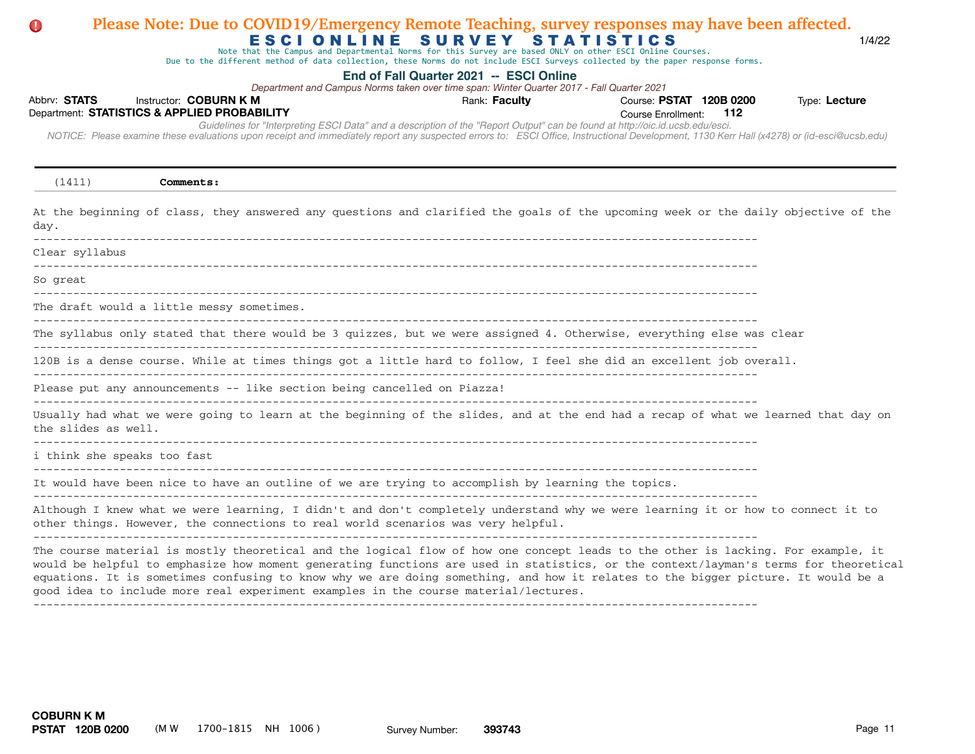# Abbrv: STATS Instructor: COBURN K M **COUR EXECUTS** Rank: Faculty **Providence: PSTAT 120B 0200** Type: Lecture Course Enrollment:  *NOTICE: Please examine these evaluations upon receipt and immediately report any suspected errors to: ESCI Office, Instructional Development, 1130 Kerr Hall (x4278) or (id-esci@ucsb.edu)*  Department: **STATISTICS & APPLIED PROBABILITY 112** E S C I O N L I N E S U R V E Y S T A T I S T I C S **End of Fall Quarter 2021 -- ESCI Online** *Guidelines for "Interpreting ESCI Data" and a description of the "Report Output" can be found at http://oic.id.ucsb.edu/esci. Department and Campus Norms taken over time span: Winter Quarter 2017 - Fall Quarter 2021* Note that the Campus and Departmental Norms for this Survey are based ONLY on other ESCI Online Courses. Due to the different method of data collection, these Norms do not include ESCI Surveys collected by the paper response forms. (1411) **Comments:** At the beginning of class, they answered any questions and clarified the goals of the upcoming week or the daily objective of the day. ------------------------------------------------------------------------------------------------------------- Clear syllabus ------------------------------------------------------------------------------------------------------------- So great ------------------------------------------------------------------------------------------------------------- The draft would a little messy sometimes. ------------------------------------------------------------------------------------------------------------- The syllabus only stated that there would be 3 quizzes, but we were assigned 4. Otherwise, everything else was clear ------------------------------------------------------------------------------------------------------------- 120B is a dense course. While at times things got a little hard to follow, I feel she did an excellent job overall. Please put any announcements -- like section being cancelled on Piazza! Usually had what we were going to learn at the beginning of the slides, and at the end had a recap of what we learned that day on the slides as well. ------------------------------------------------------------------------------------------------------------ i think she speaks too fast ------------------------------------------------------------------------------------------------------------- It would have been nice to have an outline of we are trying to accomplish by learning the topics. ------------------------------------------------------------------------------------------------------------- Although I knew what we were learning, I didn't and don't completely understand why we were learning it or how to connect it to other things. However, the connections to real world scenarios was very helpful.  $-1.1$ The course material is mostly theoretical and the logical flow of how one concept leads to the other is lacking. For example, it would be helpful to emphasize how moment generating functions are used in statistics, or the context/layman's terms for theoretical equations. It is sometimes confusing to know why we are doing something, and how it relates to the bigger picture. It would be a good idea to include more real experiment examples in the course material/lectures. -------------------------------------------------------------------------------------------------------------

**Please Note: Due to COVID19/Emergency Remote Teaching, survey responses may have been affected.**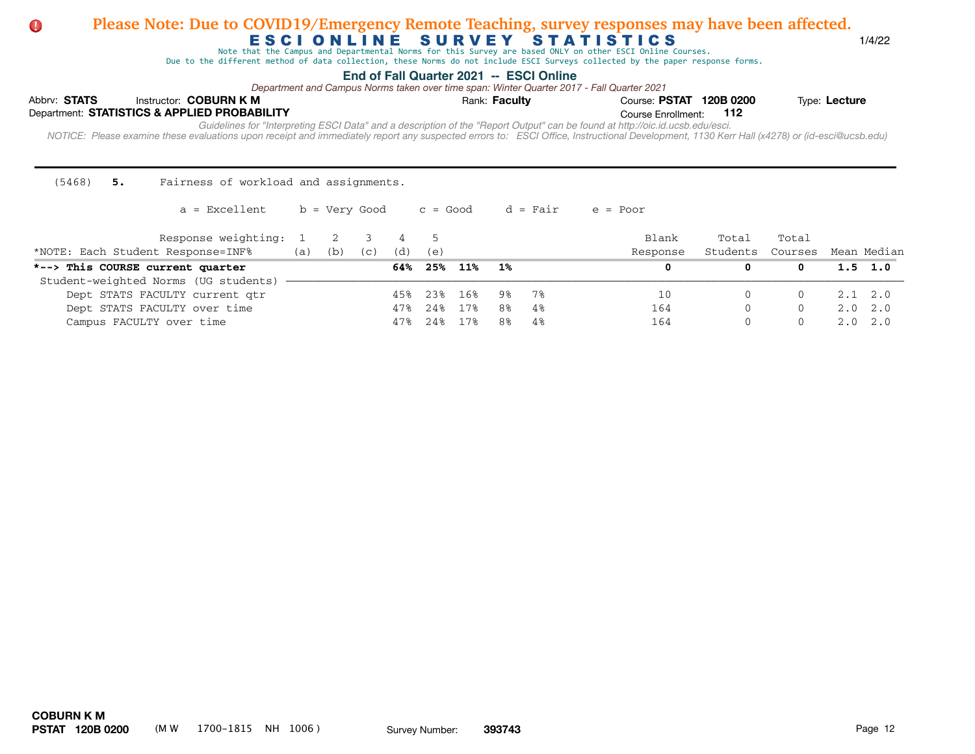Note that the Campus and Departmental Norms for this Survey are based ONLY on other ESCI Online Courses.

Due to the different method of data collection, these Norms do not include ESCI Surveys collected by the paper response forms.

## **End of Fall Quarter 2021 -- ESCI Online**

*Department and Campus Norms taken over time span: Winter Quarter 2017 - Fall Quarter 2021*

| Abbrv: STATS |  | Instructor: COBURN K M                                                                                                                                                                                                                                                                                                      | Rank: Faculty | Course: PSTAT 120B 0200 |  | Type: Lecture |  |  |  |  |  |  |  |
|--------------|--|-----------------------------------------------------------------------------------------------------------------------------------------------------------------------------------------------------------------------------------------------------------------------------------------------------------------------------|---------------|-------------------------|--|---------------|--|--|--|--|--|--|--|
|              |  | Department: STATISTICS & APPLIED PROBABILITY                                                                                                                                                                                                                                                                                |               | Course Enrollment: 112  |  |               |  |  |  |  |  |  |  |
|              |  | Guidelines for "Interpreting ESCI Data" and a description of the "Report Output" can be found at http://oic.id.ucsb.edu/esci.<br>NOTICE: Please examine these evaluations upon receipt and immediately report any suspected errors to: ESCI Office, Instructional Development, 1130 Kerr Hall (x4278) or (id-esci@ucsb.edu) |               |                         |  |               |  |  |  |  |  |  |  |

(5468) **5.** Fairness of workload and assignments.

| Response weighting:<br>*NOTE: Each Student Response=INF% | (a) | (b) | (C) | (d) | (e)  |     |    |    | Blank<br>Response | Total<br>Students | Total<br>Courses | Mean Median     |
|----------------------------------------------------------|-----|-----|-----|-----|------|-----|----|----|-------------------|-------------------|------------------|-----------------|
| *--> This COURSE current quarter                         |     |     |     | 64% | 25%  | 11% | 1% |    |                   |                   |                  | $1.5 \quad 1.0$ |
| Student-weighted Norms (UG students)                     |     |     |     |     |      |     |    |    |                   |                   |                  |                 |
| Dept STATS FACULTY current qtr                           |     |     |     | 45% | 23%  | 16% | ୨୫ | 7% | 10                |                   |                  | $2.1 \quad 2.0$ |
| Dept STATS FACULTY over time                             |     |     |     | 47% | 24%  | 17% | 8% | 4% | 164               |                   |                  | $2.0 \quad 2.0$ |
| Campus FACULTY over time                                 |     |     |     | 47% | 2.4% | 17% | 8% | 4% | 164               |                   |                  | $2.0 \quad 2.0$ |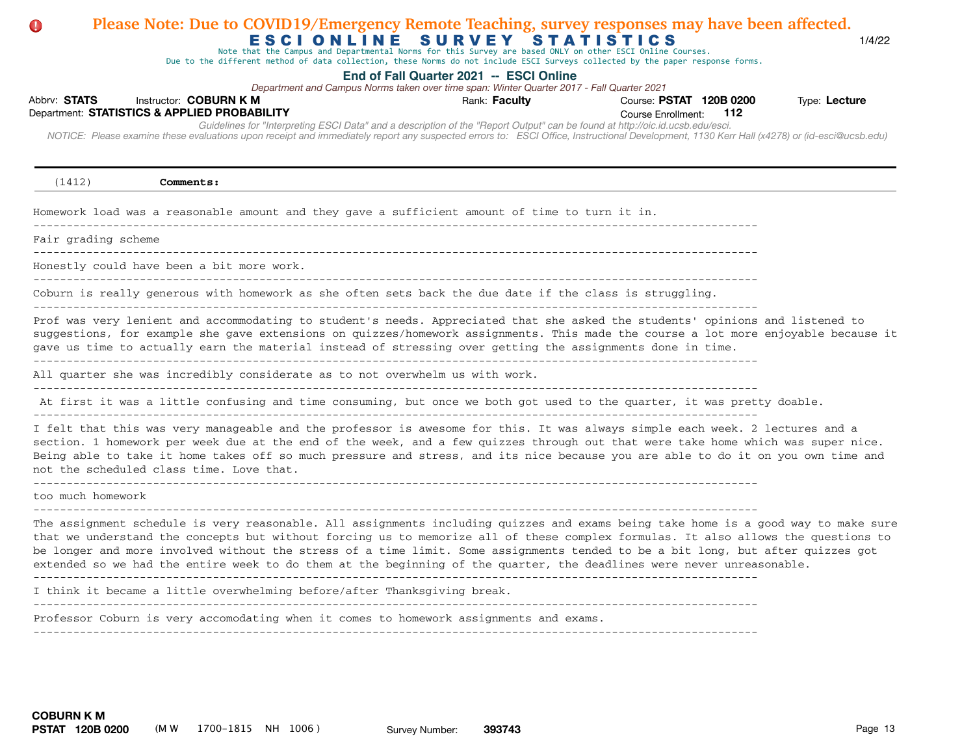# Abbrv: STATS Instructor: COBURN K M **COUR EXECUTS** Rank: Faculty **Providence: PSTAT 120B 0200** Type: Lecture Course Enrollment:  *NOTICE: Please examine these evaluations upon receipt and immediately report any suspected errors to: ESCI Office, Instructional Development, 1130 Kerr Hall (x4278) or (id-esci@ucsb.edu)*  Department: **STATISTICS & APPLIED PROBABILITY 112** E S C I O N L I N E S U R V E Y S T A T I S T I C S 1/4/22 **End of Fall Quarter 2021 -- ESCI Online** *Guidelines for "Interpreting ESCI Data" and a description of the "Report Output" can be found at http://oic.id.ucsb.edu/esci. Department and Campus Norms taken over time span: Winter Quarter 2017 - Fall Quarter 2021* Note that the Campus and Departmental Norms for this Survey are based ONLY on other ESCI Online Courses. Due to the different method of data collection, these Norms do not include ESCI Surveys collected by the paper response forms. **Please Note: Due to COVID19/Emergency Remote Teaching, survey responses may have been affected.** (1412) **Comments:** Homework load was a reasonable amount and they gave a sufficient amount of time to turn it in. Fair grading scheme ------------------------------------------------------------------------------------------------------------- Honestly could have been a bit more work. ------------------------------------------------------------------------------------------------------------- Coburn is really generous with homework as she often sets back the due date if the class is struggling. ------------------------------------------------------------------------------------------------------------- Prof was very lenient and accommodating to student's needs. Appreciated that she asked the students' opinions and listened to suggestions, for example she gave extensions on quizzes/homework assignments. This made the course a lot more enjoyable because it gave us time to actually earn the material instead of stressing over getting the assignments done in time. ------------------------------------------------------------------------------------------------------------- All quarter she was incredibly considerate as to not overwhelm us with work. ------------------------------------------------------------------------------------------------------------- At first it was a little confusing and time consuming, but once we both got used to the quarter, it was pretty doable.  $-$ I felt that this was very manageable and the professor is awesome for this. It was always simple each week. 2 lectures and a section. 1 homework per week due at the end of the week, and a few quizzes through out that were take home which was super nice. Being able to take it home takes off so much pressure and stress, and its nice because you are able to do it on you own time and not the scheduled class time. Love that. ------------------------------------------------------------------------------------------------------------ too much homework ------------------------------------------------------------------------------------------------------------- The assignment schedule is very reasonable. All assignments including quizzes and exams being take home is a good way to make sure that we understand the concepts but without forcing us to memorize all of these complex formulas. It also allows the questions to be longer and more involved without the stress of a time limit. Some assignments tended to be a bit long, but after quizzes got extended so we had the entire week to do them at the beginning of the quarter, the deadlines were never unreasonable.  $-$ I think it became a little overwhelming before/after Thanksgiving break. ------------------------------------------------------------------------------------------------------------- Professor Coburn is very accomodating when it comes to homework assignments and exams. -------------------------------------------------------------------------------------------------------------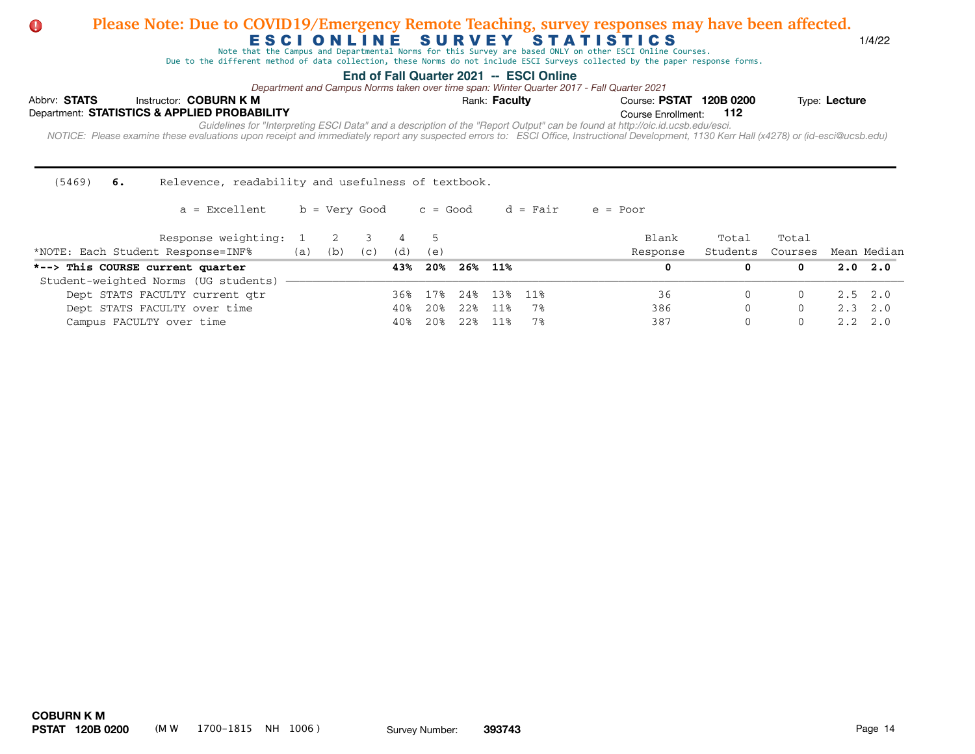Note that the Campus and Departmental Norms for this Survey are based ONLY on other ESCI Online Courses.

Due to the different method of data collection, these Norms do not include ESCI Surveys collected by the paper response forms.

## **End of Fall Quarter 2021 -- ESCI Online**

*Department and Campus Norms taken over time span: Winter Quarter 2017 - Fall Quarter 2021*

| Abbrv: STATS |  | Instructor: COBURN K M                       |  | Rank: <b>Faculty</b>                                                                                                                                                                       | Course: PSTAT 120B 0200 |  | Type: Lecture |  |  |  |  |
|--------------|--|----------------------------------------------|--|--------------------------------------------------------------------------------------------------------------------------------------------------------------------------------------------|-------------------------|--|---------------|--|--|--|--|
|              |  | Department: STATISTICS & APPLIED PROBABILITY |  |                                                                                                                                                                                            | Course Enrollment: 112  |  |               |  |  |  |  |
|              |  |                                              |  | Guidelines for "Interpreting ESCI Data" and a description of the "Report Output" can be found at http://oic.id.ucsb.edu/esci.                                                              |                         |  |               |  |  |  |  |
|              |  |                                              |  | NOTICE: Please examine these evaluations upon receipt and immediately report any suspected errors to: ESCI Office, Instructional Development, 1130 Kerr Hall (x4278) or (id-esci@ucsb.edu) |                         |  |               |  |  |  |  |
|              |  |                                              |  |                                                                                                                                                                                            |                         |  |               |  |  |  |  |

(5469) **6.** Relevence, readability and usefulness of textbook.

| Response weighting:<br>*NOTE: Each Student Response=INF% | (a) | (b) | (C) | (d) | (e) |     |             |    | Blank<br>Response | Total<br>Students | Total<br>Courses | Mean Median     |
|----------------------------------------------------------|-----|-----|-----|-----|-----|-----|-------------|----|-------------------|-------------------|------------------|-----------------|
| *--> This COURSE current quarter                         |     |     |     | 43% | 20% |     | 26% 11%     |    |                   |                   |                  | $2.0\quad 2.0$  |
| Student-weighted Norms (UG students)                     |     |     |     |     |     |     |             |    |                   |                   |                  |                 |
| Dept STATS FACULTY current qtr                           |     |     |     | 36% | 17% |     | 24% 13% 11% |    | 36                |                   |                  | $2.5$ 2.0       |
| Dept STATS FACULTY over time                             |     |     |     | 40% | 20% | 22% | 11%         | 7% | 386               | $\Omega$          | $\Omega$         | $2.3 \quad 2.0$ |
| Campus FACULTY over time                                 |     |     |     | 40% | 20% | 22% | 11%         | 7% | 387               | $\left( \right)$  |                  | $2.2 \quad 2.0$ |